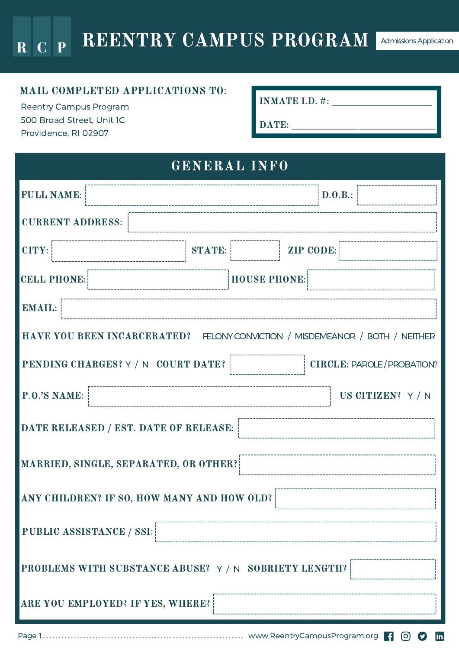### MAIL COMPLETED APPLICATIONS TO:

Reentry Campus Program 500 Broad Street, Unit 1C Providence, RI 02907

INMATE I.D. #: \_\_\_\_\_\_\_\_\_\_\_\_\_\_\_\_\_\_\_\_\_

DATE: \_\_\_\_\_\_\_\_\_\_\_\_\_\_\_\_\_\_\_\_\_\_\_\_\_\_\_\_\_\_

## GENERAL INFO

| <b>FULL NAME:</b>                                                            |                                         |               |                     | D.0.B.:                          |  |
|------------------------------------------------------------------------------|-----------------------------------------|---------------|---------------------|----------------------------------|--|
| <b>CURRENT ADDRESS:</b>                                                      |                                         |               |                     |                                  |  |
| CITY:                                                                        |                                         | <b>STATE:</b> | <b>ZIP CODE:</b>    |                                  |  |
| <b>CELL PHONE:</b>                                                           |                                         |               | <b>HOUSE PHONE:</b> |                                  |  |
| <b>EMAIL:</b>                                                                |                                         |               |                     |                                  |  |
| HAVE YOU BEEN INCARCERATED? FELONY CONVICTION / MISDEMEANOR / BOTH / NEITHER |                                         |               |                     |                                  |  |
|                                                                              | PENDING CHARGES? Y / N COURT DATE?      |               |                     | <b>CIRCLE: PAROLE/PROBATION?</b> |  |
| P.O.'S NAME:                                                                 |                                         |               |                     | US CITIZEN? Y / N                |  |
| DATE RELEASED / EST. DATE OF RELEASE:                                        |                                         |               |                     |                                  |  |
| MARRIED, SINGLE, SEPARATED, OR OTHER?                                        |                                         |               |                     |                                  |  |
| ANY CHILDREN? IF SO, HOW MANY AND HOW OLD?                                   |                                         |               |                     |                                  |  |
| <b>PUBLIC ASSISTANCE / SSI:</b>                                              |                                         |               |                     |                                  |  |
| PROBLEMS WITH SUBSTANCE ABUSE? Y / N SOBRIETY LENGTH?                        |                                         |               |                     |                                  |  |
|                                                                              | <b>ARE YOU EMPLOYED? IF YES, WHERE?</b> |               |                     |                                  |  |
|                                                                              |                                         |               |                     |                                  |  |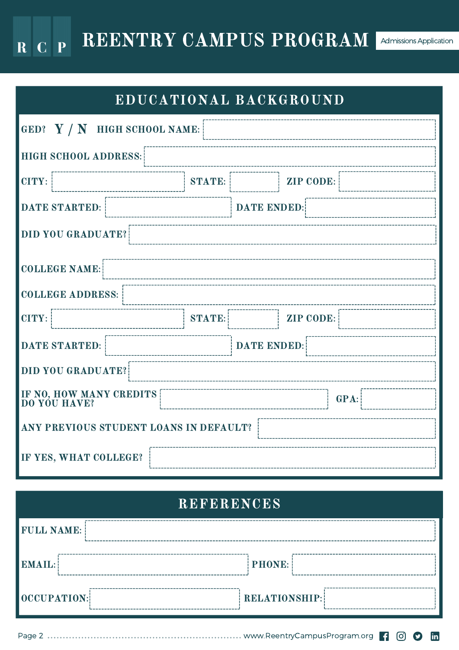REENTRY CAMPUS PROGRAM Admissions Application  $R C P$ 

EDUCATIONAL BACKGROUND

| GED? $Y / N$ HIGH SCHOOL NAME:                  |               |                    |                  |  |  |
|-------------------------------------------------|---------------|--------------------|------------------|--|--|
| HIGH SCHOOL ADDRESS:                            |               |                    |                  |  |  |
| CITY:                                           | <b>STATE:</b> |                    | ZIP CODE:        |  |  |
| <b>DATE STARTED:</b>                            |               | <b>DATE ENDED:</b> |                  |  |  |
| <b>DID YOU GRADUATE?</b>                        |               |                    |                  |  |  |
| <b>COLLEGE NAME:</b>                            |               |                    |                  |  |  |
| <b>COLLEGE ADDRESS:</b>                         |               |                    |                  |  |  |
| CITY:                                           | <b>STATE:</b> |                    | <b>ZIP CODE:</b> |  |  |
| <b>DATE STARTED:</b>                            |               | <b>DATE ENDED:</b> |                  |  |  |
| DID YOU GRADUATE?                               |               |                    |                  |  |  |
| IF NO, HOW MANY CREDITS<br>DO YOU HAVE?<br>GPA: |               |                    |                  |  |  |
| ANY PREVIOUS STUDENT LOANS IN DEFAULT?          |               |                    |                  |  |  |
| IF YES, WHAT COLLEGE?                           |               |                    |                  |  |  |

## REFERENCES

| <b>FULL NAME:</b> |                      |
|-------------------|----------------------|
| EMAIL:            | $ $ PHONE:           |
| OCCUPATION:       | <b>RELATIONSHIP:</b> |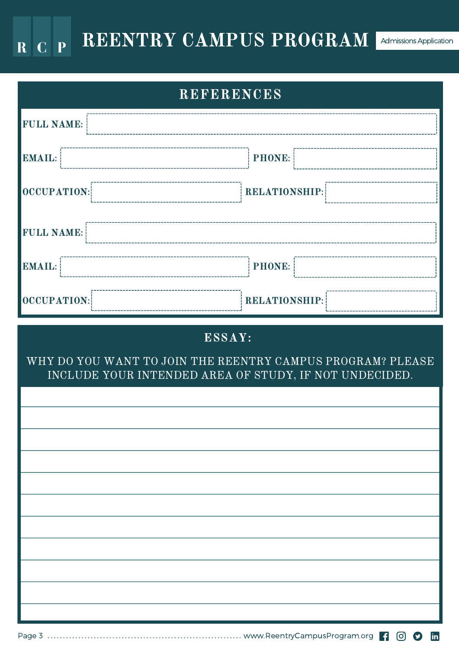### REENTRY CAMPUS PROGRAM Admissions Application  $R C P$

| <b>REFERENCES</b>                                                                                                              |                      |  |  |  |  |
|--------------------------------------------------------------------------------------------------------------------------------|----------------------|--|--|--|--|
| <b>FULL NAME:</b>                                                                                                              |                      |  |  |  |  |
| <b>EMAIL:</b>                                                                                                                  | <b>PHONE:</b>        |  |  |  |  |
| OCCUPATION:                                                                                                                    | <b>RELATIONSHIP:</b> |  |  |  |  |
| <b>FULL NAME:</b>                                                                                                              |                      |  |  |  |  |
| <b>EMAIL:</b>                                                                                                                  | <b>PHONE:</b>        |  |  |  |  |
| OCCUPATION:                                                                                                                    | RELATIONSHIP:        |  |  |  |  |
| ESSAY:<br>WHY DO YOU WANT TO JOIN THE REENTRY CAMPUS PROGRAM? PLEASE<br>INCLUDE YOUR INTENDED AREA OF STUDY, IF NOT UNDECIDED. |                      |  |  |  |  |
|                                                                                                                                |                      |  |  |  |  |
|                                                                                                                                |                      |  |  |  |  |
|                                                                                                                                |                      |  |  |  |  |
|                                                                                                                                |                      |  |  |  |  |
|                                                                                                                                |                      |  |  |  |  |
|                                                                                                                                |                      |  |  |  |  |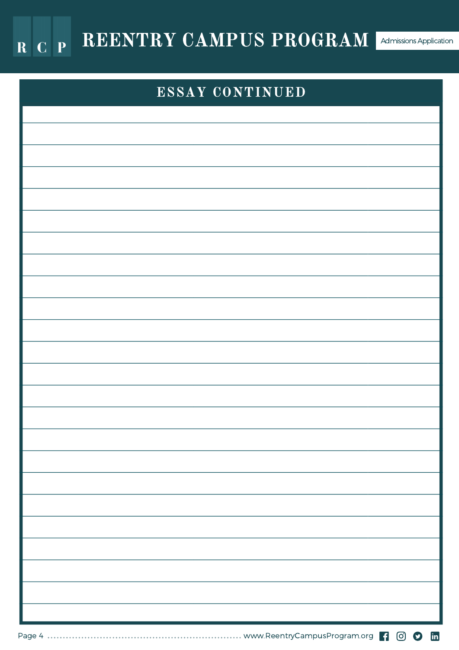

# ESSAY CONTINUED

Page 4 www.ReentryCampusProgram.org | 0 0 m